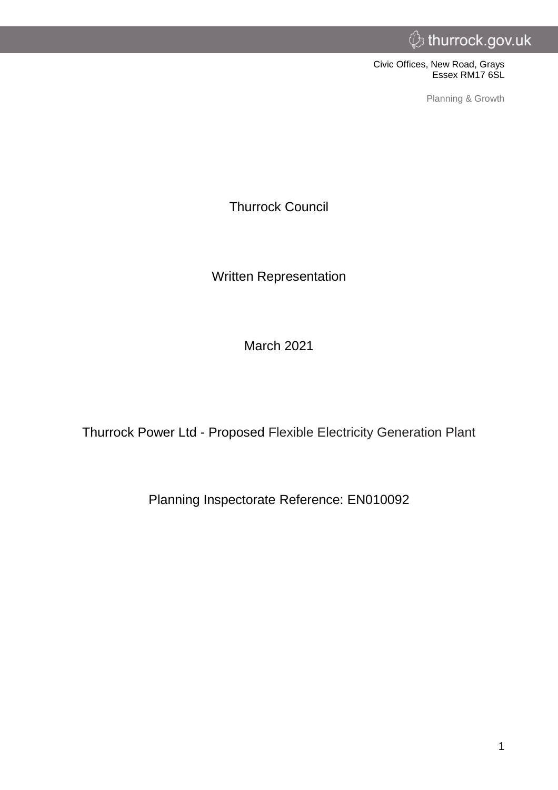Civic Offices, New Road, Grays Essex RM17 6SL

Planning & Growth

Thurrock Council

Written Representation

March 2021

Thurrock Power Ltd - Proposed Flexible Electricity Generation Plant

Planning Inspectorate Reference: EN010092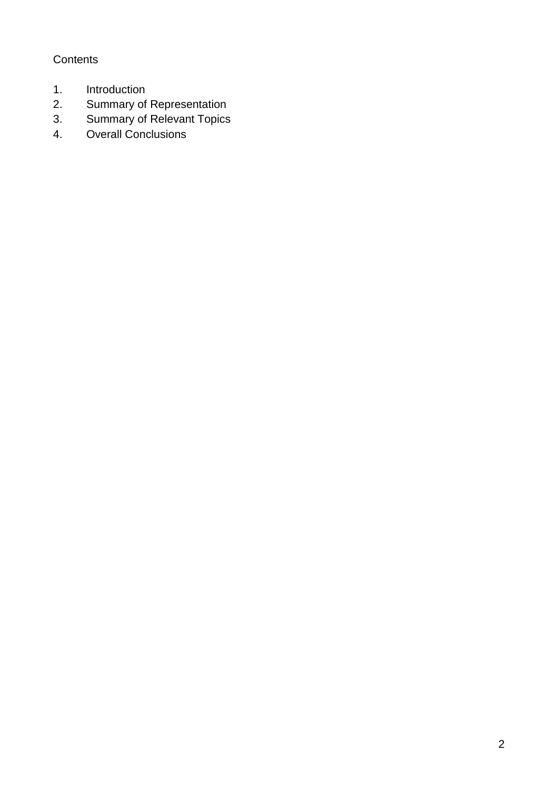## **Contents**

- 1. Introduction
- 2. Summary of Representation<br>3. Summary of Relevant Topics
- 3. Summary of Relevant Topics<br>4. Overall Conclusions
- Overall Conclusions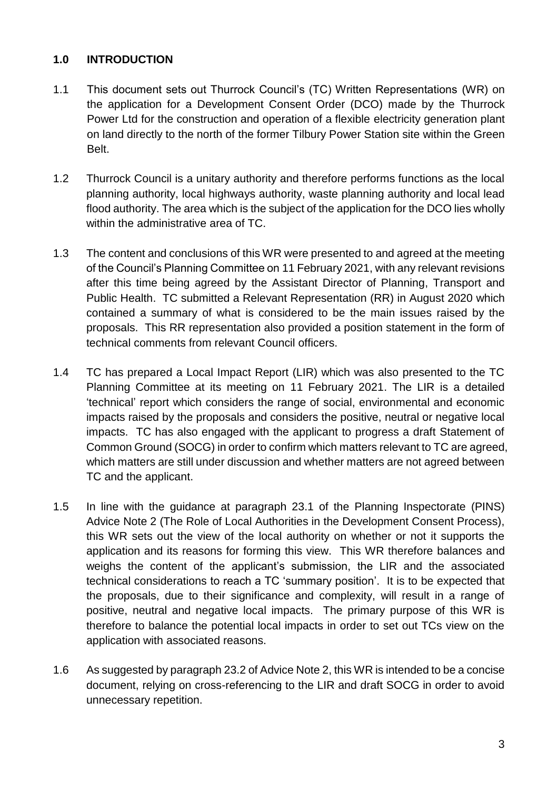### **1.0 INTRODUCTION**

- 1.1 This document sets out Thurrock Council's (TC) Written Representations (WR) on the application for a Development Consent Order (DCO) made by the Thurrock Power Ltd for the construction and operation of a flexible electricity generation plant on land directly to the north of the former Tilbury Power Station site within the Green Belt.
- 1.2 Thurrock Council is a unitary authority and therefore performs functions as the local planning authority, local highways authority, waste planning authority and local lead flood authority. The area which is the subject of the application for the DCO lies wholly within the administrative area of TC.
- 1.3 The content and conclusions of this WR were presented to and agreed at the meeting of the Council's Planning Committee on 11 February 2021, with any relevant revisions after this time being agreed by the Assistant Director of Planning, Transport and Public Health. TC submitted a Relevant Representation (RR) in August 2020 which contained a summary of what is considered to be the main issues raised by the proposals. This RR representation also provided a position statement in the form of technical comments from relevant Council officers.
- 1.4 TC has prepared a Local Impact Report (LIR) which was also presented to the TC Planning Committee at its meeting on 11 February 2021. The LIR is a detailed 'technical' report which considers the range of social, environmental and economic impacts raised by the proposals and considers the positive, neutral or negative local impacts. TC has also engaged with the applicant to progress a draft Statement of Common Ground (SOCG) in order to confirm which matters relevant to TC are agreed, which matters are still under discussion and whether matters are not agreed between TC and the applicant.
- 1.5 In line with the guidance at paragraph 23.1 of the Planning Inspectorate (PINS) Advice Note 2 (The Role of Local Authorities in the Development Consent Process), this WR sets out the view of the local authority on whether or not it supports the application and its reasons for forming this view. This WR therefore balances and weighs the content of the applicant's submission, the LIR and the associated technical considerations to reach a TC 'summary position'. It is to be expected that the proposals, due to their significance and complexity, will result in a range of positive, neutral and negative local impacts. The primary purpose of this WR is therefore to balance the potential local impacts in order to set out TCs view on the application with associated reasons.
- 1.6 As suggested by paragraph 23.2 of Advice Note 2, this WR is intended to be a concise document, relying on cross-referencing to the LIR and draft SOCG in order to avoid unnecessary repetition.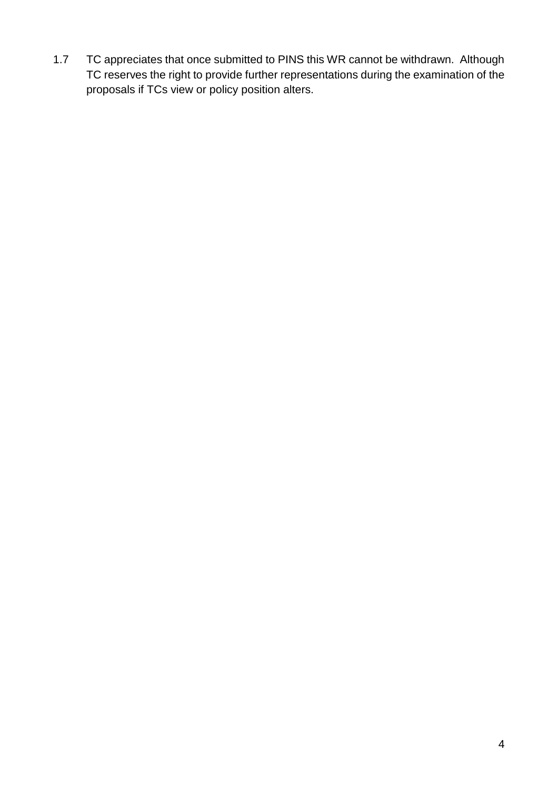1.7 TC appreciates that once submitted to PINS this WR cannot be withdrawn. Although TC reserves the right to provide further representations during the examination of the proposals if TCs view or policy position alters.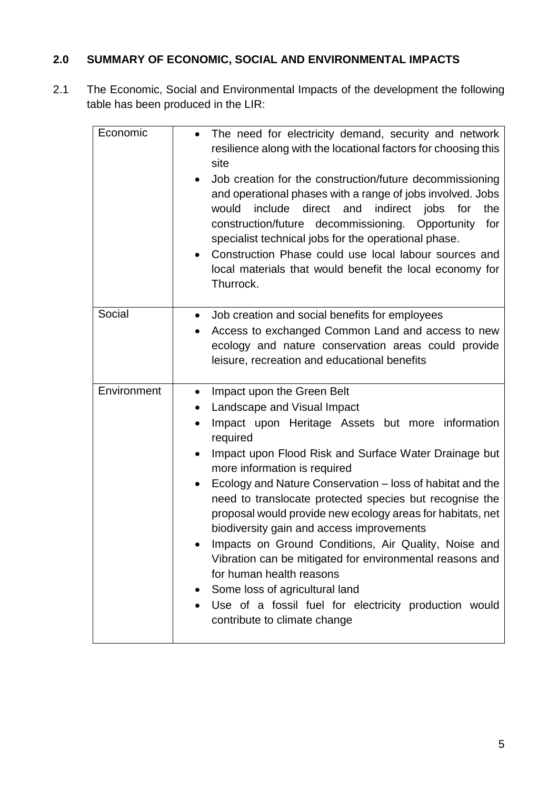# **2.0 SUMMARY OF ECONOMIC, SOCIAL AND ENVIRONMENTAL IMPACTS**

2.1 The Economic, Social and Environmental Impacts of the development the following table has been produced in the LIR:

| Economic    | • The need for electricity demand, security and network<br>resilience along with the locational factors for choosing this<br>site<br>Job creation for the construction/future decommissioning<br>and operational phases with a range of jobs involved. Jobs<br>include direct<br>would<br>and indirect jobs<br>the<br>for<br>construction/future decommissioning. Opportunity for<br>specialist technical jobs for the operational phase.<br>Construction Phase could use local labour sources and<br>local materials that would benefit the local economy for<br>Thurrock.                                                                                                                                                                                             |
|-------------|-------------------------------------------------------------------------------------------------------------------------------------------------------------------------------------------------------------------------------------------------------------------------------------------------------------------------------------------------------------------------------------------------------------------------------------------------------------------------------------------------------------------------------------------------------------------------------------------------------------------------------------------------------------------------------------------------------------------------------------------------------------------------|
| Social      | Job creation and social benefits for employees<br>Access to exchanged Common Land and access to new<br>ecology and nature conservation areas could provide<br>leisure, recreation and educational benefits                                                                                                                                                                                                                                                                                                                                                                                                                                                                                                                                                              |
| Environment | Impact upon the Green Belt<br>$\bullet$<br>Landscape and Visual Impact<br>$\bullet$<br>Impact upon Heritage Assets but more information<br>required<br>Impact upon Flood Risk and Surface Water Drainage but<br>more information is required<br>Ecology and Nature Conservation – loss of habitat and the<br>need to translocate protected species but recognise the<br>proposal would provide new ecology areas for habitats, net<br>biodiversity gain and access improvements<br>Impacts on Ground Conditions, Air Quality, Noise and<br>Vibration can be mitigated for environmental reasons and<br>for human health reasons<br>Some loss of agricultural land<br>Use of a fossil fuel for electricity production would<br>$\bullet$<br>contribute to climate change |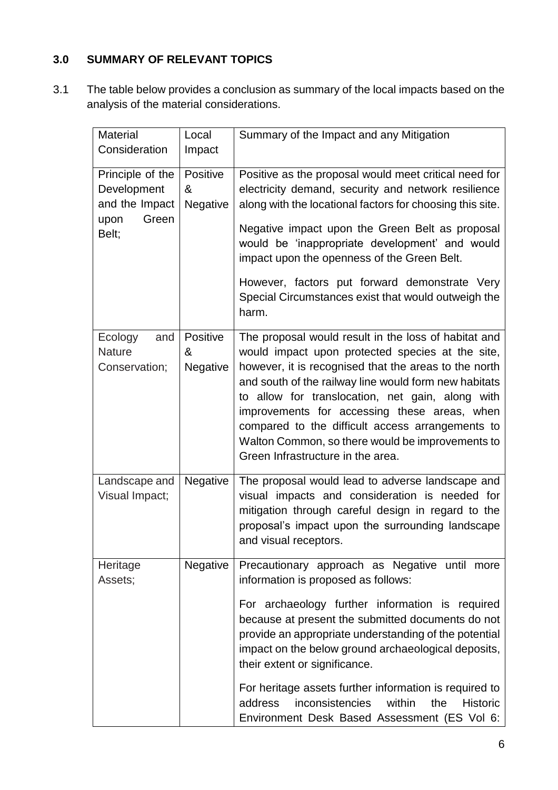## **3.0 SUMMARY OF RELEVANT TOPICS**

3.1 The table below provides a conclusion as summary of the local impacts based on the analysis of the material considerations.

| <b>Material</b>  | Local           | Summary of the Impact and any Mitigation                              |
|------------------|-----------------|-----------------------------------------------------------------------|
| Consideration    | Impact          |                                                                       |
|                  |                 |                                                                       |
| Principle of the | Positive        | Positive as the proposal would meet critical need for                 |
| Development      | &               | electricity demand, security and network resilience                   |
| and the Impact   | Negative        | along with the locational factors for choosing this site.             |
|                  |                 |                                                                       |
| Green<br>upon    |                 | Negative impact upon the Green Belt as proposal                       |
| Belt;            |                 | would be 'inappropriate development' and would                        |
|                  |                 | impact upon the openness of the Green Belt.                           |
|                  |                 |                                                                       |
|                  |                 | However, factors put forward demonstrate Very                         |
|                  |                 | Special Circumstances exist that would outweigh the                   |
|                  |                 |                                                                       |
|                  |                 | harm.                                                                 |
| Ecology<br>and   | Positive        | The proposal would result in the loss of habitat and                  |
| <b>Nature</b>    | &               | would impact upon protected species at the site,                      |
|                  |                 |                                                                       |
| Conservation;    | Negative        | however, it is recognised that the areas to the north                 |
|                  |                 | and south of the railway line would form new habitats                 |
|                  |                 | to allow for translocation, net gain, along with                      |
|                  |                 | improvements for accessing these areas, when                          |
|                  |                 | compared to the difficult access arrangements to                      |
|                  |                 | Walton Common, so there would be improvements to                      |
|                  |                 | Green Infrastructure in the area.                                     |
|                  |                 |                                                                       |
| Landscape and    | Negative        | The proposal would lead to adverse landscape and                      |
| Visual Impact;   |                 | visual impacts and consideration is needed for                        |
|                  |                 | mitigation through careful design in regard to the                    |
|                  |                 | proposal's impact upon the surrounding landscape                      |
|                  |                 | and visual receptors.                                                 |
|                  |                 |                                                                       |
| Heritage         | <b>Negative</b> | Precautionary approach as Negative until more                         |
| Assets;          |                 | information is proposed as follows:                                   |
|                  |                 |                                                                       |
|                  |                 | For archaeology further information is required                       |
|                  |                 | because at present the submitted documents do not                     |
|                  |                 | provide an appropriate understanding of the potential                 |
|                  |                 |                                                                       |
|                  |                 | impact on the below ground archaeological deposits,                   |
|                  |                 | their extent or significance.                                         |
|                  |                 | For heritage assets further information is required to                |
|                  |                 | <i>inconsistencies</i><br>within<br>the<br>address<br><b>Historic</b> |
|                  |                 |                                                                       |
|                  |                 | Environment Desk Based Assessment (ES Vol 6:                          |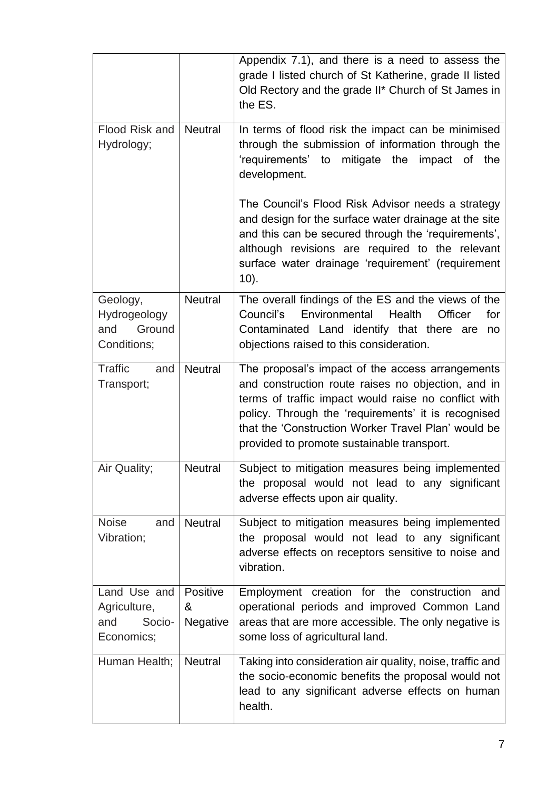|                                                             |                           | Appendix 7.1), and there is a need to assess the<br>grade I listed church of St Katherine, grade II listed<br>Old Rectory and the grade II* Church of St James in<br>the ES.                                                                                                                                               |
|-------------------------------------------------------------|---------------------------|----------------------------------------------------------------------------------------------------------------------------------------------------------------------------------------------------------------------------------------------------------------------------------------------------------------------------|
| Flood Risk and<br>Hydrology;                                | <b>Neutral</b>            | In terms of flood risk the impact can be minimised<br>through the submission of information through the<br>'requirements' to mitigate the impact of the<br>development.                                                                                                                                                    |
|                                                             |                           | The Council's Flood Risk Advisor needs a strategy<br>and design for the surface water drainage at the site<br>and this can be secured through the 'requirements',<br>although revisions are required to the relevant<br>surface water drainage 'requirement' (requirement<br>$10$ ).                                       |
| Geology,<br>Hydrogeology<br>Ground<br>and<br>Conditions;    | <b>Neutral</b>            | The overall findings of the ES and the views of the<br>Environmental<br>Council's<br>Health<br>Officer<br>for<br>Contaminated Land identify that there are<br>no<br>objections raised to this consideration.                                                                                                               |
| <b>Traffic</b><br>and<br>Transport;                         | <b>Neutral</b>            | The proposal's impact of the access arrangements<br>and construction route raises no objection, and in<br>terms of traffic impact would raise no conflict with<br>policy. Through the 'requirements' it is recognised<br>that the 'Construction Worker Travel Plan' would be<br>provided to promote sustainable transport. |
| Air Quality;                                                | <b>Neutral</b>            | Subject to mitigation measures being implemented<br>the proposal would not lead to any significant<br>adverse effects upon air quality.                                                                                                                                                                                    |
| <b>Noise</b><br>and<br>Vibration;                           | <b>Neutral</b>            | Subject to mitigation measures being implemented<br>the proposal would not lead to any significant<br>adverse effects on receptors sensitive to noise and<br>vibration.                                                                                                                                                    |
| Land Use and<br>Agriculture,<br>Socio-<br>and<br>Economics; | Positive<br>&<br>Negative | Employment creation for the construction<br>and<br>operational periods and improved Common Land<br>areas that are more accessible. The only negative is<br>some loss of agricultural land.                                                                                                                                 |
| Human Health;                                               | <b>Neutral</b>            | Taking into consideration air quality, noise, traffic and<br>the socio-economic benefits the proposal would not<br>lead to any significant adverse effects on human<br>health.                                                                                                                                             |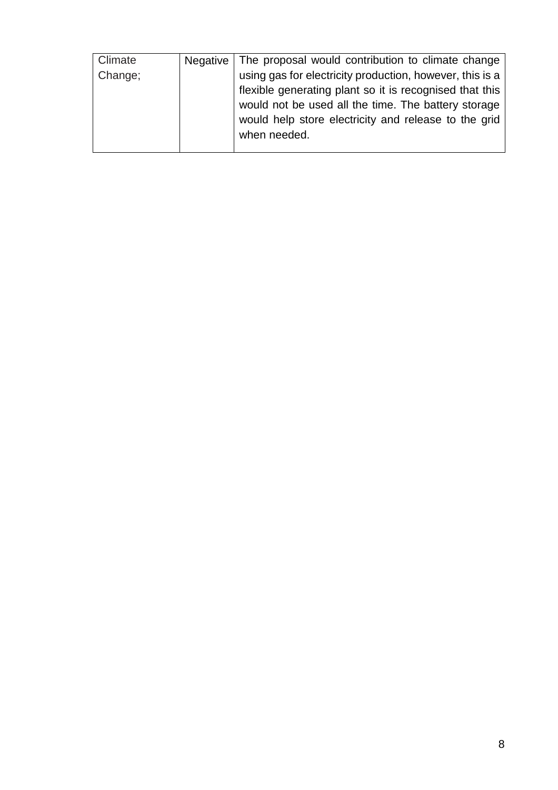| Climate | Negative | The proposal would contribution to climate change                                                                                                                                                                                                  |
|---------|----------|----------------------------------------------------------------------------------------------------------------------------------------------------------------------------------------------------------------------------------------------------|
| Change; |          | using gas for electricity production, however, this is a<br>flexible generating plant so it is recognised that this<br>would not be used all the time. The battery storage<br>would help store electricity and release to the grid<br>when needed. |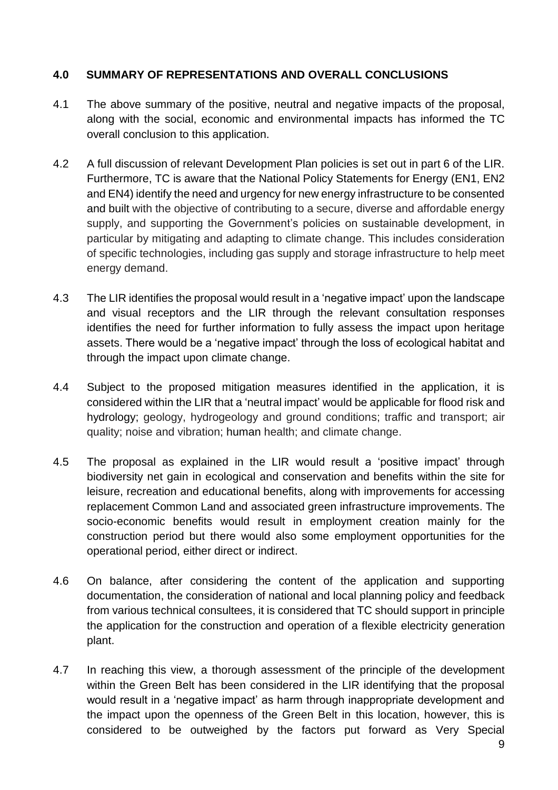#### **4.0 SUMMARY OF REPRESENTATIONS AND OVERALL CONCLUSIONS**

- 4.1 The above summary of the positive, neutral and negative impacts of the proposal, along with the social, economic and environmental impacts has informed the TC overall conclusion to this application.
- 4.2 A full discussion of relevant Development Plan policies is set out in part 6 of the LIR. Furthermore, TC is aware that the National Policy Statements for Energy (EN1, EN2 and EN4) identify the need and urgency for new energy infrastructure to be consented and built with the objective of contributing to a secure, diverse and affordable energy supply, and supporting the Government's policies on sustainable development, in particular by mitigating and adapting to climate change. This includes consideration of specific technologies, including gas supply and storage infrastructure to help meet energy demand.
- 4.3 The LIR identifies the proposal would result in a 'negative impact' upon the landscape and visual receptors and the LIR through the relevant consultation responses identifies the need for further information to fully assess the impact upon heritage assets. There would be a 'negative impact' through the loss of ecological habitat and through the impact upon climate change.
- 4.4 Subject to the proposed mitigation measures identified in the application, it is considered within the LIR that a 'neutral impact' would be applicable for flood risk and hydrology; geology, hydrogeology and ground conditions; traffic and transport; air quality; noise and vibration; human health; and climate change.
- 4.5 The proposal as explained in the LIR would result a 'positive impact' through biodiversity net gain in ecological and conservation and benefits within the site for leisure, recreation and educational benefits, along with improvements for accessing replacement Common Land and associated green infrastructure improvements. The socio-economic benefits would result in employment creation mainly for the construction period but there would also some employment opportunities for the operational period, either direct or indirect.
- 4.6 On balance, after considering the content of the application and supporting documentation, the consideration of national and local planning policy and feedback from various technical consultees, it is considered that TC should support in principle the application for the construction and operation of a flexible electricity generation plant.
- 4.7 In reaching this view, a thorough assessment of the principle of the development within the Green Belt has been considered in the LIR identifying that the proposal would result in a 'negative impact' as harm through inappropriate development and the impact upon the openness of the Green Belt in this location, however, this is considered to be outweighed by the factors put forward as Very Special